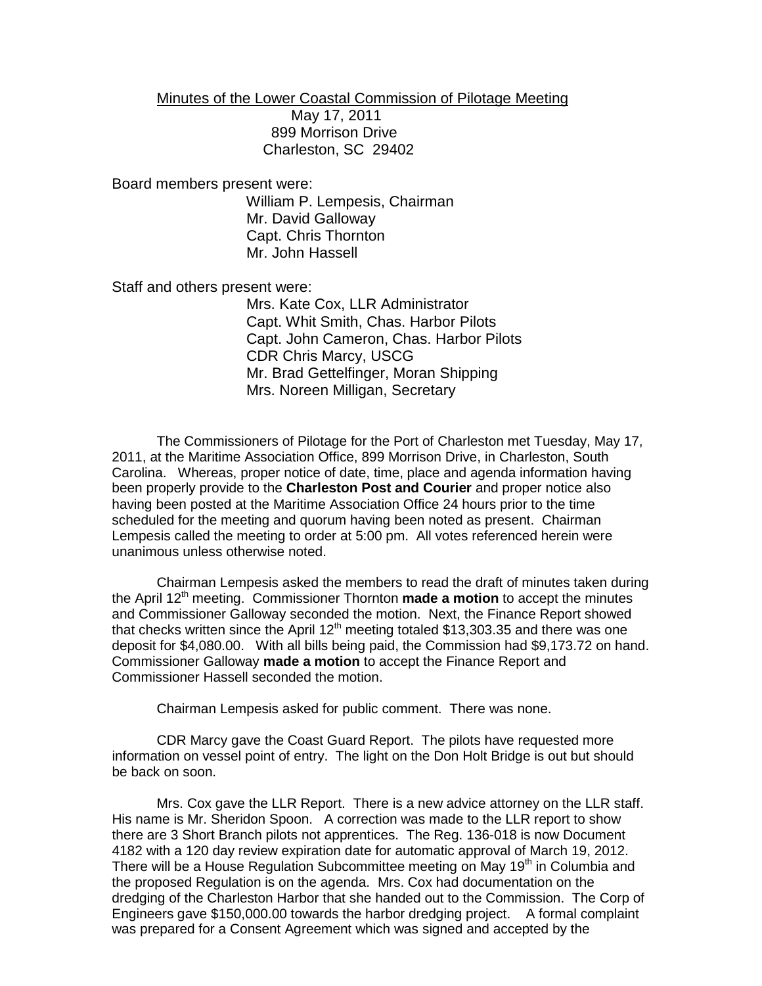Minutes of the Lower Coastal Commission of Pilotage Meeting

May 17, 2011 899 Morrison Drive Charleston, SC 29402

Board members present were:

William P. Lempesis, Chairman Mr. David Galloway Capt. Chris Thornton Mr. John Hassell

Staff and others present were:

Mrs. Kate Cox, LLR Administrator Capt. Whit Smith, Chas. Harbor Pilots Capt. John Cameron, Chas. Harbor Pilots CDR Chris Marcy, USCG Mr. Brad Gettelfinger, Moran Shipping Mrs. Noreen Milligan, Secretary

The Commissioners of Pilotage for the Port of Charleston met Tuesday, May 17, 2011, at the Maritime Association Office, 899 Morrison Drive, in Charleston, South Carolina. Whereas, proper notice of date, time, place and agenda information having been properly provide to the **Charleston Post and Courier** and proper notice also having been posted at the Maritime Association Office 24 hours prior to the time scheduled for the meeting and quorum having been noted as present. Chairman Lempesis called the meeting to order at 5:00 pm. All votes referenced herein were unanimous unless otherwise noted.

Chairman Lempesis asked the members to read the draft of minutes taken during the April 12th meeting. Commissioner Thornton **made a motion** to accept the minutes and Commissioner Galloway seconded the motion. Next, the Finance Report showed that checks written since the April 12<sup>th</sup> meeting totaled \$13,303.35 and there was one deposit for \$4,080.00. With all bills being paid, the Commission had \$9,173.72 on hand. Commissioner Galloway **made a motion** to accept the Finance Report and Commissioner Hassell seconded the motion.

Chairman Lempesis asked for public comment. There was none.

CDR Marcy gave the Coast Guard Report. The pilots have requested more information on vessel point of entry. The light on the Don Holt Bridge is out but should be back on soon.

Mrs. Cox gave the LLR Report. There is a new advice attorney on the LLR staff. His name is Mr. Sheridon Spoon. A correction was made to the LLR report to show there are 3 Short Branch pilots not apprentices. The Reg. 136-018 is now Document 4182 with a 120 day review expiration date for automatic approval of March 19, 2012. There will be a House Regulation Subcommittee meeting on May 19<sup>th</sup> in Columbia and the proposed Regulation is on the agenda. Mrs. Cox had documentation on the dredging of the Charleston Harbor that she handed out to the Commission. The Corp of Engineers gave \$150,000.00 towards the harbor dredging project. A formal complaint was prepared for a Consent Agreement which was signed and accepted by the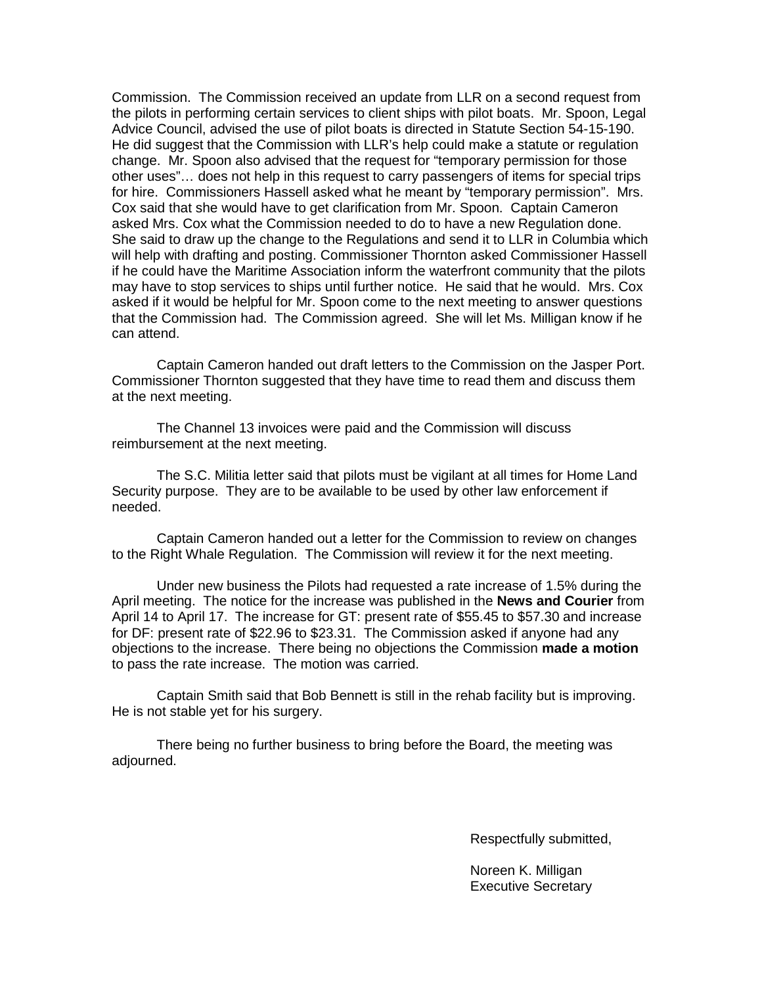Commission. The Commission received an update from LLR on a second request from the pilots in performing certain services to client ships with pilot boats. Mr. Spoon, Legal Advice Council, advised the use of pilot boats is directed in Statute Section 54-15-190. He did suggest that the Commission with LLR's help could make a statute or regulation change. Mr. Spoon also advised that the request for "temporary permission for those other uses"… does not help in this request to carry passengers of items for special trips for hire. Commissioners Hassell asked what he meant by "temporary permission". Mrs. Cox said that she would have to get clarification from Mr. Spoon. Captain Cameron asked Mrs. Cox what the Commission needed to do to have a new Regulation done. She said to draw up the change to the Regulations and send it to LLR in Columbia which will help with drafting and posting. Commissioner Thornton asked Commissioner Hassell if he could have the Maritime Association inform the waterfront community that the pilots may have to stop services to ships until further notice. He said that he would. Mrs. Cox asked if it would be helpful for Mr. Spoon come to the next meeting to answer questions that the Commission had. The Commission agreed. She will let Ms. Milligan know if he can attend.

Captain Cameron handed out draft letters to the Commission on the Jasper Port. Commissioner Thornton suggested that they have time to read them and discuss them at the next meeting.

The Channel 13 invoices were paid and the Commission will discuss reimbursement at the next meeting.

The S.C. Militia letter said that pilots must be vigilant at all times for Home Land Security purpose. They are to be available to be used by other law enforcement if needed.

Captain Cameron handed out a letter for the Commission to review on changes to the Right Whale Regulation. The Commission will review it for the next meeting.

Under new business the Pilots had requested a rate increase of 1.5% during the April meeting. The notice for the increase was published in the **News and Courier** from April 14 to April 17. The increase for GT: present rate of \$55.45 to \$57.30 and increase for DF: present rate of \$22.96 to \$23.31. The Commission asked if anyone had any objections to the increase. There being no objections the Commission **made a motion** to pass the rate increase. The motion was carried.

Captain Smith said that Bob Bennett is still in the rehab facility but is improving. He is not stable yet for his surgery.

There being no further business to bring before the Board, the meeting was adjourned.

Respectfully submitted,

Noreen K. Milligan Executive Secretary